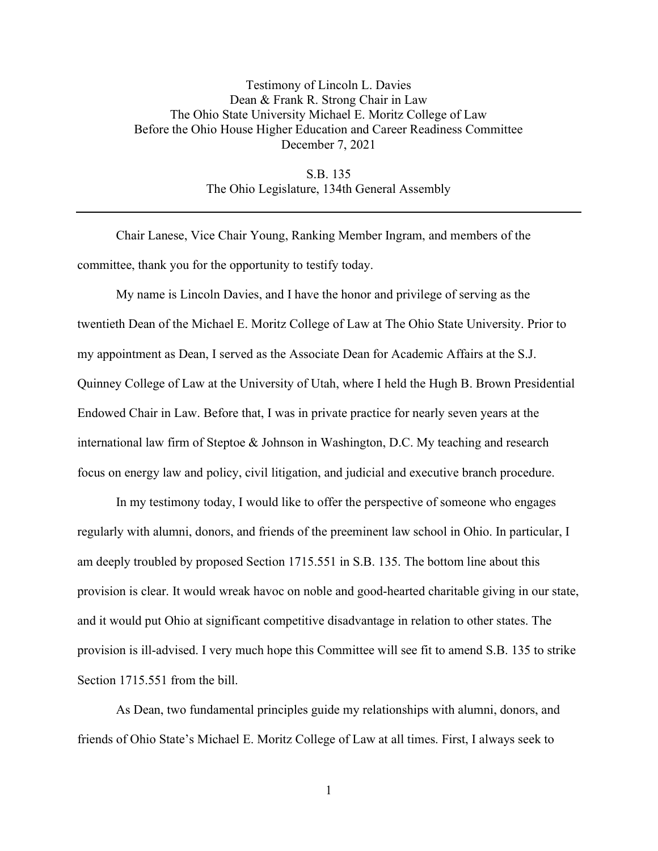## Testimony of Lincoln L. Davies Dean & Frank R. Strong Chair in Law The Ohio State University Michael E. Moritz College of Law Before the Ohio House Higher Education and Career Readiness Committee December 7, 2021

S.B. 135 The Ohio Legislature, 134th General Assembly

Chair Lanese, Vice Chair Young, Ranking Member Ingram, and members of the committee, thank you for the opportunity to testify today.

My name is Lincoln Davies, and I have the honor and privilege of serving as the twentieth Dean of the Michael E. Moritz College of Law at The Ohio State University. Prior to my appointment as Dean, I served as the Associate Dean for Academic Affairs at the S.J. Quinney College of Law at the University of Utah, where I held the Hugh B. Brown Presidential Endowed Chair in Law. Before that, I was in private practice for nearly seven years at the international law firm of Steptoe & Johnson in Washington, D.C. My teaching and research focus on energy law and policy, civil litigation, and judicial and executive branch procedure.

In my testimony today, I would like to offer the perspective of someone who engages regularly with alumni, donors, and friends of the preeminent law school in Ohio. In particular, I am deeply troubled by proposed Section 1715.551 in S.B. 135. The bottom line about this provision is clear. It would wreak havoc on noble and good-hearted charitable giving in our state, and it would put Ohio at significant competitive disadvantage in relation to other states. The provision is ill-advised. I very much hope this Committee will see fit to amend S.B. 135 to strike Section 1715.551 from the bill.

As Dean, two fundamental principles guide my relationships with alumni, donors, and friends of Ohio State's Michael E. Moritz College of Law at all times. First, I always seek to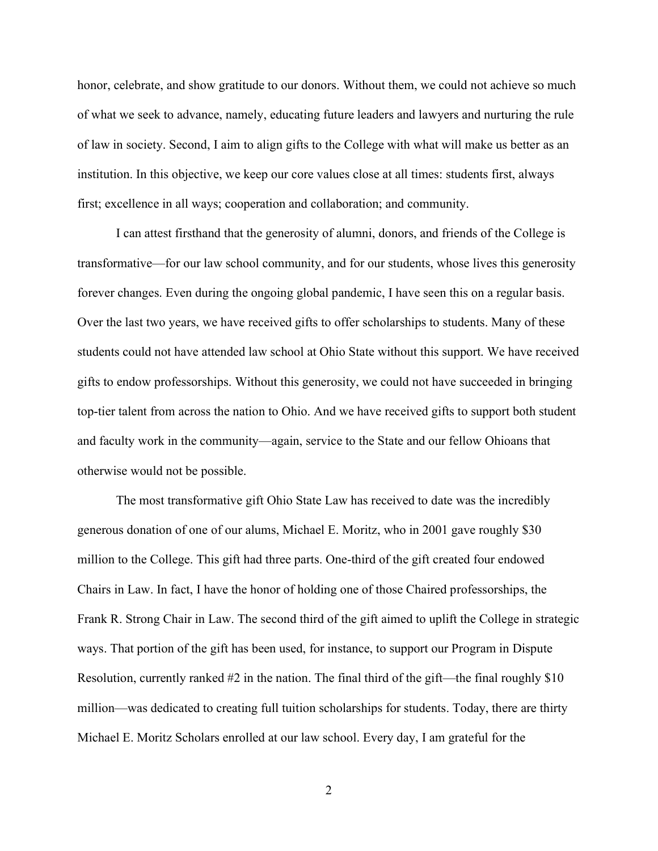honor, celebrate, and show gratitude to our donors. Without them, we could not achieve so much of what we seek to advance, namely, educating future leaders and lawyers and nurturing the rule of law in society. Second, I aim to align gifts to the College with what will make us better as an institution. In this objective, we keep our core values close at all times: students first, always first; excellence in all ways; cooperation and collaboration; and community.

I can attest firsthand that the generosity of alumni, donors, and friends of the College is transformative—for our law school community, and for our students, whose lives this generosity forever changes. Even during the ongoing global pandemic, I have seen this on a regular basis. Over the last two years, we have received gifts to offer scholarships to students. Many of these students could not have attended law school at Ohio State without this support. We have received gifts to endow professorships. Without this generosity, we could not have succeeded in bringing top-tier talent from across the nation to Ohio. And we have received gifts to support both student and faculty work in the community—again, service to the State and our fellow Ohioans that otherwise would not be possible.

The most transformative gift Ohio State Law has received to date was the incredibly generous donation of one of our alums, Michael E. Moritz, who in 2001 gave roughly \$30 million to the College. This gift had three parts. One-third of the gift created four endowed Chairs in Law. In fact, I have the honor of holding one of those Chaired professorships, the Frank R. Strong Chair in Law. The second third of the gift aimed to uplift the College in strategic ways. That portion of the gift has been used, for instance, to support our Program in Dispute Resolution, currently ranked #2 in the nation. The final third of the gift—the final roughly \$10 million—was dedicated to creating full tuition scholarships for students. Today, there are thirty Michael E. Moritz Scholars enrolled at our law school. Every day, I am grateful for the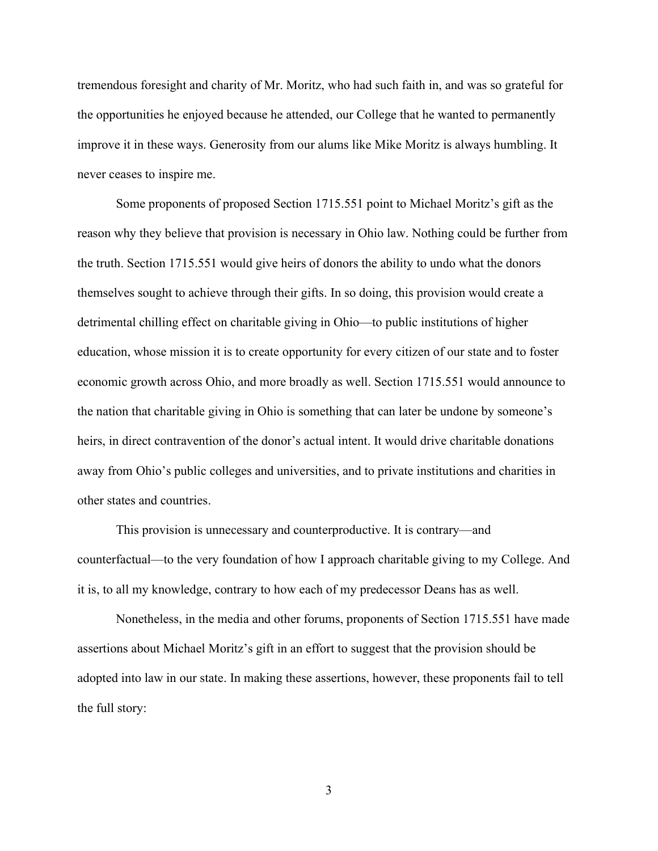tremendous foresight and charity of Mr. Moritz, who had such faith in, and was so grateful for the opportunities he enjoyed because he attended, our College that he wanted to permanently improve it in these ways. Generosity from our alums like Mike Moritz is always humbling. It never ceases to inspire me.

Some proponents of proposed Section 1715.551 point to Michael Moritz's gift as the reason why they believe that provision is necessary in Ohio law. Nothing could be further from the truth. Section 1715.551 would give heirs of donors the ability to undo what the donors themselves sought to achieve through their gifts. In so doing, this provision would create a detrimental chilling effect on charitable giving in Ohio—to public institutions of higher education, whose mission it is to create opportunity for every citizen of our state and to foster economic growth across Ohio, and more broadly as well. Section 1715.551 would announce to the nation that charitable giving in Ohio is something that can later be undone by someone's heirs, in direct contravention of the donor's actual intent. It would drive charitable donations away from Ohio's public colleges and universities, and to private institutions and charities in other states and countries.

This provision is unnecessary and counterproductive. It is contrary—and counterfactual—to the very foundation of how I approach charitable giving to my College. And it is, to all my knowledge, contrary to how each of my predecessor Deans has as well.

Nonetheless, in the media and other forums, proponents of Section 1715.551 have made assertions about Michael Moritz's gift in an effort to suggest that the provision should be adopted into law in our state. In making these assertions, however, these proponents fail to tell the full story: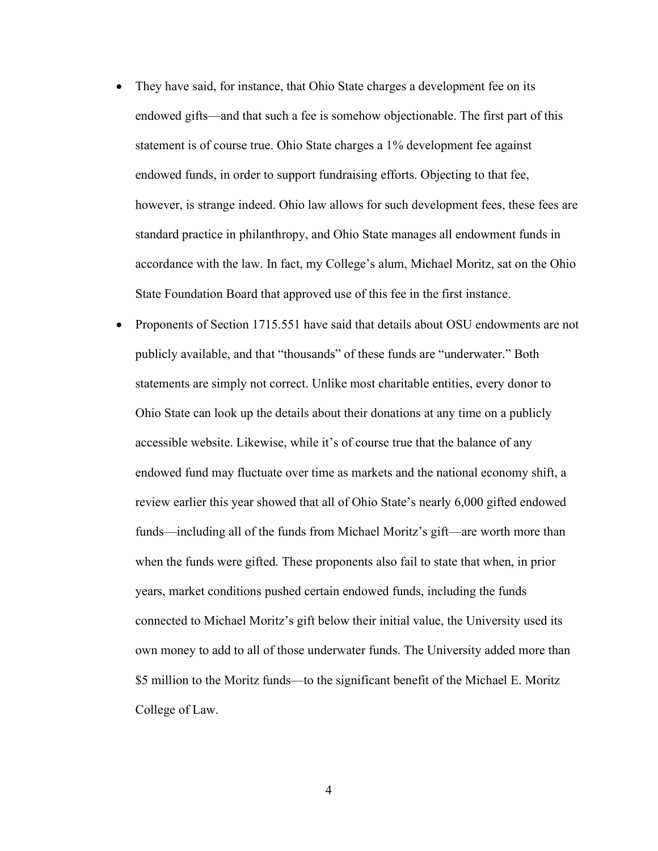- They have said, for instance, that Ohio State charges a development fee on its endowed gifts—and that such a fee is somehow objectionable. The first part of this statement is of course true. Ohio State charges a 1% development fee against endowed funds, in order to support fundraising efforts. Objecting to that fee, however, is strange indeed. Ohio law allows for such development fees, these fees are standard practice in philanthropy, and Ohio State manages all endowment funds in accordance with the law. In fact, my College's alum, Michael Moritz, sat on the Ohio State Foundation Board that approved use of this fee in the first instance.
- Proponents of Section 1715.551 have said that details about OSU endowments are not publicly available, and that "thousands" of these funds are "underwater." Both statements are simply not correct. Unlike most charitable entities, every donor to Ohio State can look up the details about their donations at any time on a publicly accessible website. Likewise, while it's of course true that the balance of any endowed fund may fluctuate over time as markets and the national economy shift, a review earlier this year showed that all of Ohio State's nearly 6,000 gifted endowed funds—including all of the funds from Michael Moritz's gift—are worth more than when the funds were gifted. These proponents also fail to state that when, in prior years, market conditions pushed certain endowed funds, including the funds connected to Michael Moritz's gift below their initial value, the University used its own money to add to all of those underwater funds. The University added more than \$5 million to the Moritz funds—to the significant benefit of the Michael E. Moritz College of Law.